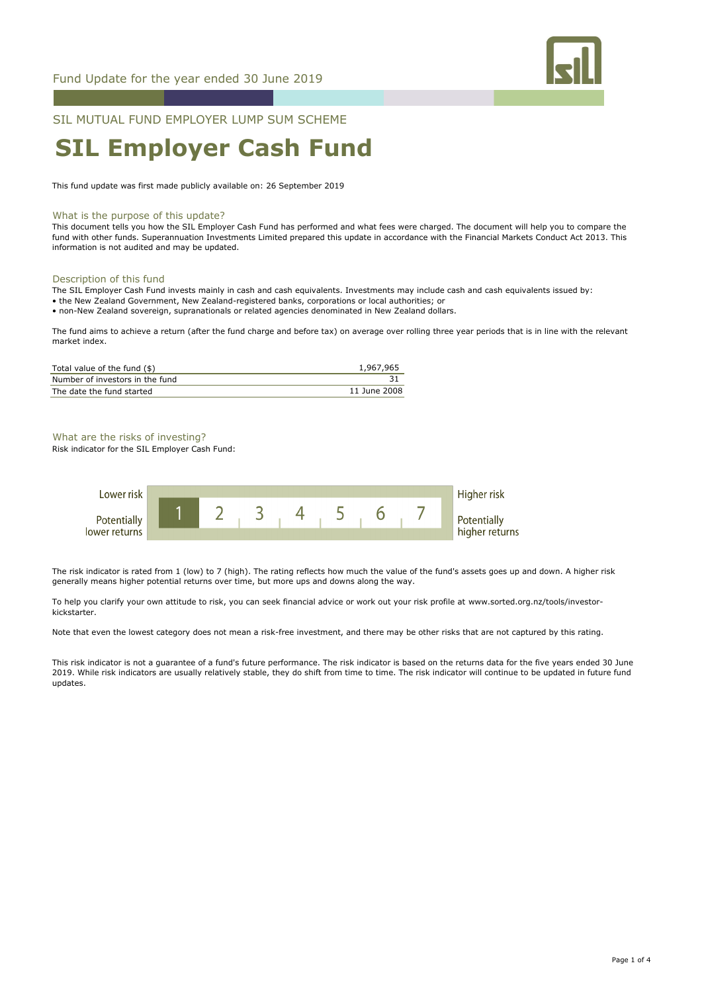

## SIL MUTUAL FUND EMPLOYER LUMP SUM SCHEME

# **SIL Employer Cash Fund**

This fund update was first made publicly available on: 26 September 2019

#### What is the purpose of this update?

This document tells you how the SIL Employer Cash Fund has performed and what fees were charged. The document will help you to compare the fund with other funds. Superannuation Investments Limited prepared this update in accordance with the Financial Markets Conduct Act 2013. This information is not audited and may be updated.

#### Description of this fund

The SIL Employer Cash Fund invests mainly in cash and cash equivalents. Investments may include cash and cash equivalents issued by: • the New Zealand Government, New Zealand-registered banks, corporations or local authorities; or • non-New Zealand sovereign, supranationals or related agencies denominated in New Zealand dollars.

The fund aims to achieve a return (after the fund charge and before tax) on average over rolling three year periods that is in line with the relevant market index.

| Total value of the fund (\$)    | 1,967,965    |
|---------------------------------|--------------|
| Number of investors in the fund |              |
| The date the fund started       | 11 June 2008 |

# What are the risks of investing?

Risk indicator for the SIL Employer Cash Fund:



The risk indicator is rated from 1 (low) to 7 (high). The rating reflects how much the value of the fund's assets goes up and down. A higher risk generally means higher potential returns over time, but more ups and downs along the way.

To help you clarify your own attitude to risk, you can seek financial advice or work out your risk profile at www.sorted.org.nz/tools/investorkickstarter.

Note that even the lowest category does not mean a risk-free investment, and there may be other risks that are not captured by this rating.

This risk indicator is not a guarantee of a fund's future performance. The risk indicator is based on the returns data for the five years ended 30 June 2019. While risk indicators are usually relatively stable, they do shift from time to time. The risk indicator will continue to be updated in future fund updates.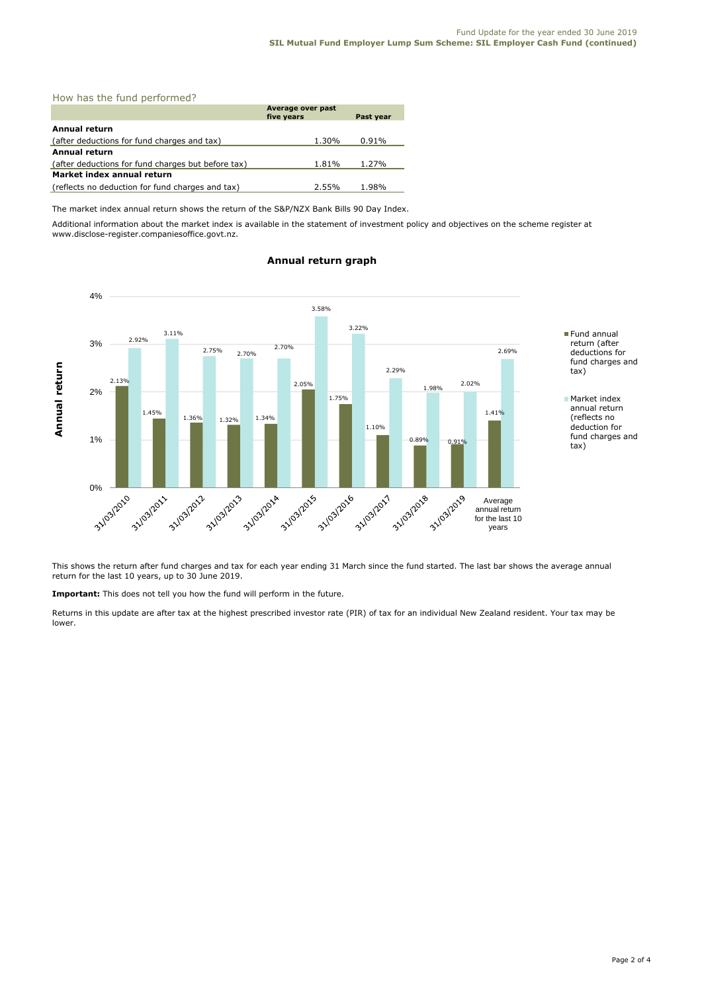## How has the fund performed?

|                                                    | Average over past<br>five years | Past year |  |  |
|----------------------------------------------------|---------------------------------|-----------|--|--|
|                                                    |                                 |           |  |  |
| Annual return                                      |                                 |           |  |  |
| (after deductions for fund charges and tax)        | 1.30%                           | 0.91%     |  |  |
| Annual return                                      |                                 |           |  |  |
| (after deductions for fund charges but before tax) | 1.81%                           | 1.27%     |  |  |
| Market index annual return                         |                                 |           |  |  |
| (reflects no deduction for fund charges and tax)   | 2.55%                           | 1.98%     |  |  |

The market index annual return shows the return of the S&P/NZX Bank Bills 90 Day Index.

Additional information about the market index is available in the statement of investment policy and objectives on the scheme register at www.disclose-register.companiesoffice.govt.nz.



## **Annual return graph**

This shows the return after fund charges and tax for each year ending 31 March since the fund started. The last bar shows the average annual return for the last 10 years, up to 30 June 2019.

**Important:** This does not tell you how the fund will perform in the future.

Returns in this update are after tax at the highest prescribed investor rate (PIR) of tax for an individual New Zealand resident. Your tax may be lower.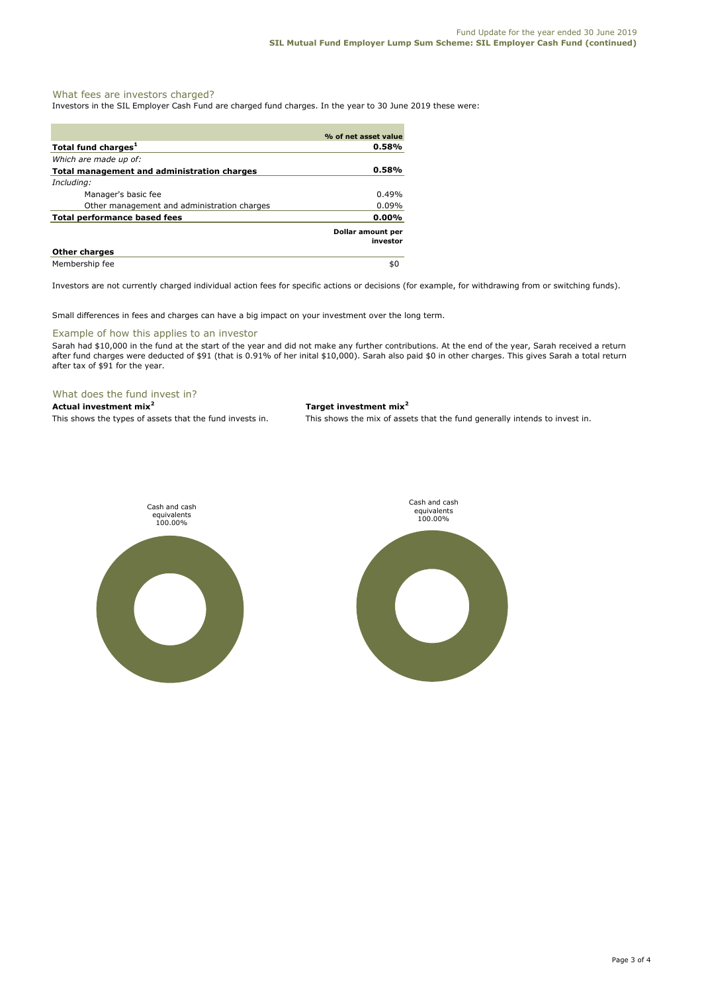## What fees are investors charged?

Investors in the SIL Employer Cash Fund are charged fund charges. In the year to 30 June 2019 these were:

|                                             | % of net asset value          |
|---------------------------------------------|-------------------------------|
| Total fund charges <sup>1</sup>             | 0.58%                         |
| Which are made up of:                       |                               |
| Total management and administration charges | 0.58%                         |
| Including:                                  |                               |
| Manager's basic fee                         | 0.49%                         |
| Other management and administration charges | $0.09\%$                      |
| Total performance based fees                | $0.00\%$                      |
|                                             | Dollar amount per<br>investor |
| <b>Other charges</b>                        |                               |
| Membership fee                              | \$0                           |

Investors are not currently charged individual action fees for specific actions or decisions (for example, for withdrawing from or switching funds).

Small differences in fees and charges can have a big impact on your investment over the long term.

#### Example of how this applies to an investor

Sarah had \$10,000 in the fund at the start of the year and did not make any further contributions. At the end of the year, Sarah received a return after fund charges were deducted of \$91 (that is 0.91% of her inital \$10,000). Sarah also paid \$0 in other charges. This gives Sarah a total return after tax of \$91 for the year.

## What does the fund invest in?

# **Actual investment mix<sup>2</sup> Target investment mix<sup>2</sup>**

This shows the types of assets that the fund invests in. This shows the mix of assets that the fund generally intends to invest in.